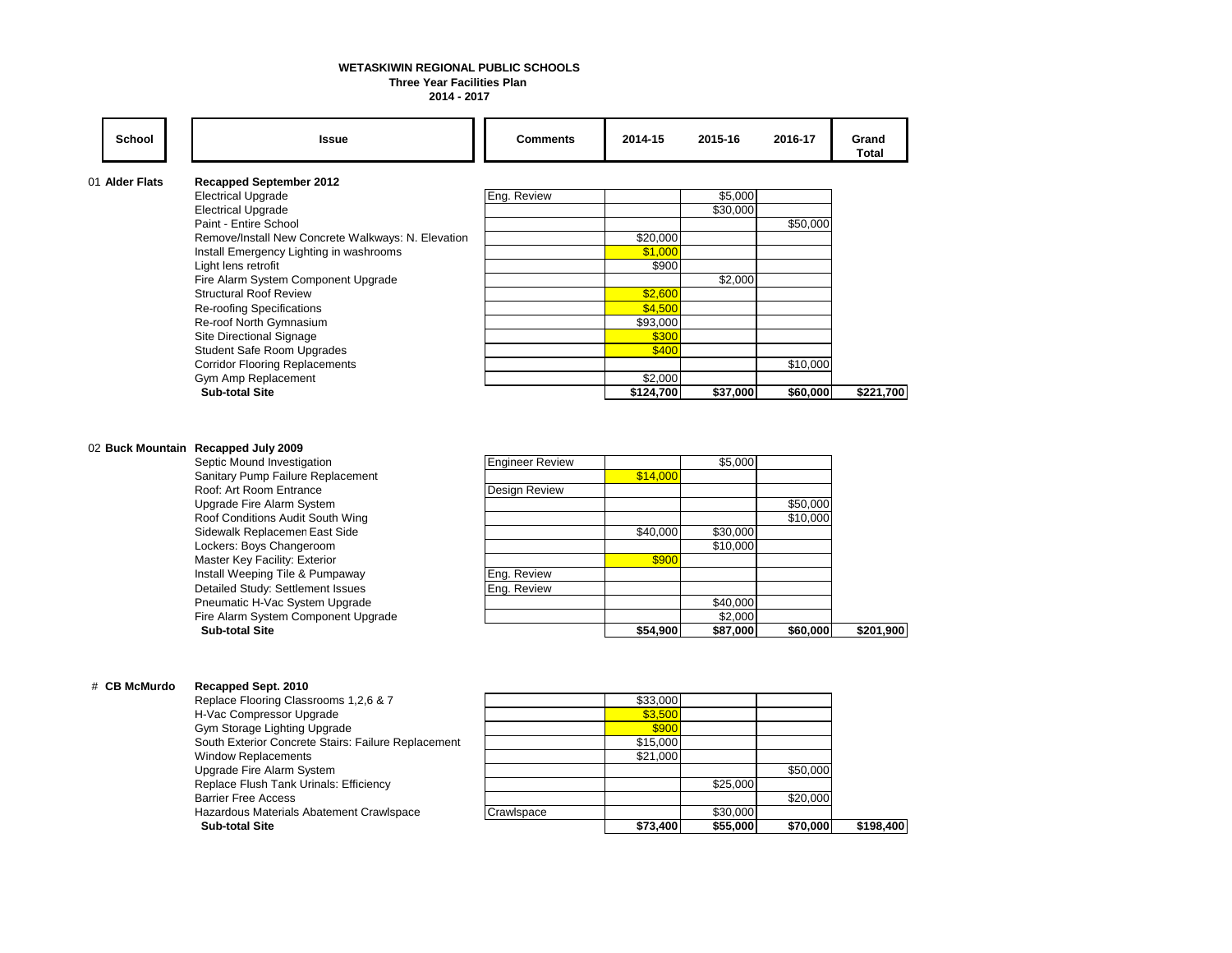# **WETASKIWIN REGIONAL PUBLIC SCHOOLS**

## **Three Year Facilities Plan**

**2014 - 2017**

| School         | <b>Issue</b>                                       | <b>Comments</b> | 2014-15   | 2015-16  | 2016-17  | Grand<br>Total |
|----------------|----------------------------------------------------|-----------------|-----------|----------|----------|----------------|
| 01 Alder Flats | <b>Recapped September 2012</b>                     |                 |           |          |          |                |
|                | <b>Electrical Upgrade</b>                          | Eng. Review     |           | \$5,000  |          |                |
|                | <b>Electrical Upgrade</b>                          |                 |           | \$30,000 |          |                |
|                | Paint - Entire School                              |                 |           |          | \$50,000 |                |
|                | Remove/Install New Concrete Walkways: N. Elevation |                 | \$20,000  |          |          |                |
|                | Install Emergency Lighting in washrooms            |                 | \$1,000   |          |          |                |
|                | Light lens retrofit                                |                 | \$900     |          |          |                |
|                | Fire Alarm System Component Upgrade                |                 |           | \$2,000  |          |                |
|                | <b>Structural Roof Review</b>                      |                 | \$2,600   |          |          |                |
|                | Re-roofing Specifications                          |                 | \$4,500   |          |          |                |
|                | Re-roof North Gymnasium                            |                 | \$93,000  |          |          |                |
|                | Site Directional Signage                           |                 | \$300     |          |          |                |
|                | <b>Student Safe Room Upgrades</b>                  |                 | \$400     |          |          |                |
|                | <b>Corridor Flooring Replacements</b>              |                 |           |          | \$10,000 |                |
|                | Gym Amp Replacement                                |                 | \$2,000   |          |          |                |
|                | <b>Sub-total Site</b>                              |                 | \$124,700 | \$37,000 | \$60,000 | \$221,700      |

#### 02 **Buck Mountain Recapped July 2009**

| <b>Engineer Review</b> |          | \$5,000  |          |           |
|------------------------|----------|----------|----------|-----------|
|                        | \$14,000 |          |          |           |
| Design Review          |          |          |          |           |
|                        |          |          | \$50,000 |           |
|                        |          |          | \$10,000 |           |
|                        | \$40,000 | \$30,000 |          |           |
|                        |          | \$10,000 |          |           |
|                        | \$900    |          |          |           |
| Eng. Review            |          |          |          |           |
| Eng. Review            |          |          |          |           |
|                        |          | \$40,000 |          |           |
|                        |          | \$2,000  |          |           |
|                        | \$54,900 | \$87,000 | \$60,000 | \$201,900 |
|                        |          |          |          |           |

#### # **CB McMurdo Recapped Sept. 2010**

| <b>Sub-total Site</b>                               |            | \$73,400 | \$55,000 | \$70,000 | \$198,400 |
|-----------------------------------------------------|------------|----------|----------|----------|-----------|
| Hazardous Materials Abatement Crawlspace            | Crawlspace |          | \$30,000 |          |           |
| <b>Barrier Free Access</b>                          |            |          |          | \$20,000 |           |
| Replace Flush Tank Urinals: Efficiency              |            |          | \$25,000 |          |           |
| Upgrade Fire Alarm System                           |            |          |          | \$50,000 |           |
| <b>Window Replacements</b>                          |            | \$21.000 |          |          |           |
| South Exterior Concrete Stairs: Failure Replacement |            | \$15,000 |          |          |           |
| Gym Storage Lighting Upgrade                        |            | \$900    |          |          |           |
| H-Vac Compressor Upgrade                            |            | \$3.500  |          |          |           |
| Replace Flooring Classrooms 1,2,6 & 7               |            | \$33.000 |          |          |           |

|            | \$73.400 | \$55,000 | \$70.000 | \$198,400 |
|------------|----------|----------|----------|-----------|
| Crawlspace |          | \$30,000 |          |           |
|            |          |          | \$20,000 |           |
|            |          | \$25,000 |          |           |
|            |          |          | \$50,000 |           |
|            | \$21,000 |          |          |           |
|            | \$15,000 |          |          |           |
|            | \$900    |          |          |           |
|            | \$3,500  |          |          |           |
|            | \$33,000 |          |          |           |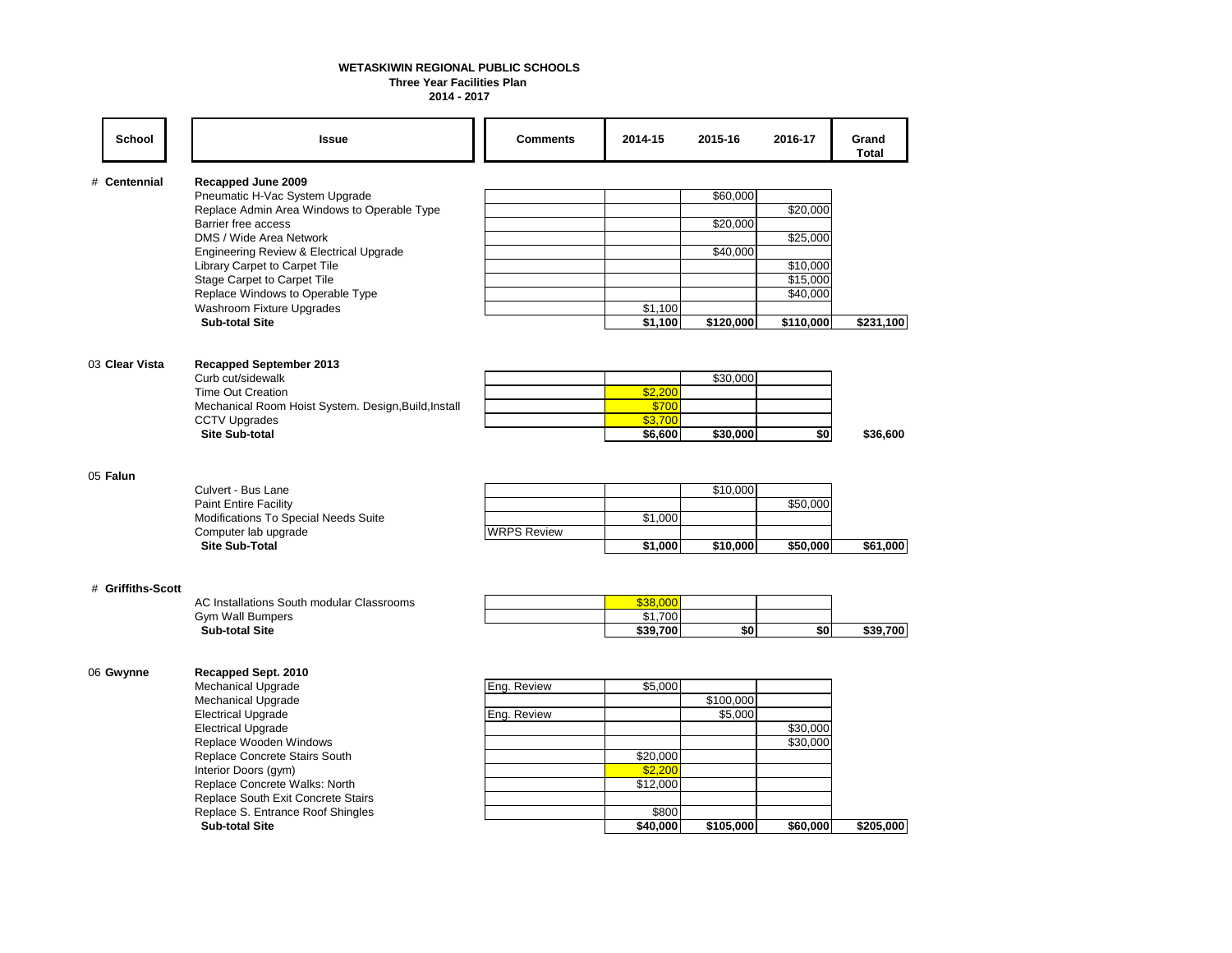#### **Three Year Facilities Plan WETASKIWIN REGIONAL PUBLIC SCHOOLS**

**2014 - 2017**

|                                                  |                                                                                                                                             | <b>Comments</b>    | 2014-15            | 2015-16   | 2016-17   | Grand<br>Total |
|--------------------------------------------------|---------------------------------------------------------------------------------------------------------------------------------------------|--------------------|--------------------|-----------|-----------|----------------|
| Recapped June 2009<br># Centennial               |                                                                                                                                             |                    |                    |           |           |                |
|                                                  | Pneumatic H-Vac System Upgrade<br>Replace Admin Area Windows to Operable Type                                                               |                    |                    | \$60,000  |           |                |
|                                                  |                                                                                                                                             |                    |                    |           | \$20,000  |                |
| Barrier free access<br>DMS / Wide Area Network   |                                                                                                                                             |                    |                    | \$20,000  | \$25,000  |                |
|                                                  | Engineering Review & Electrical Upgrade                                                                                                     |                    |                    | \$40,000  |           |                |
|                                                  | Library Carpet to Carpet Tile                                                                                                               |                    |                    |           | \$10,000  |                |
| Stage Carpet to Carpet Tile                      |                                                                                                                                             |                    |                    |           | \$15,000  |                |
|                                                  | Replace Windows to Operable Type                                                                                                            |                    |                    |           | \$40,000  |                |
| Washroom Fixture Upgrades                        |                                                                                                                                             |                    | \$1,100            |           |           |                |
| <b>Sub-total Site</b>                            |                                                                                                                                             |                    | \$1,100            | \$120,000 | \$110,000 | \$231,100      |
|                                                  |                                                                                                                                             |                    |                    |           |           |                |
| 03 Clear Vista<br><b>Recapped September 2013</b> |                                                                                                                                             |                    |                    |           |           |                |
| Curb cut/sidewalk                                |                                                                                                                                             |                    |                    | \$30,000  |           |                |
| <b>Time Out Creation</b>                         |                                                                                                                                             |                    | \$2,200            |           |           |                |
|                                                  | Mechanical Room Hoist System. Design, Build, Install                                                                                        |                    | \$700              |           |           |                |
|                                                  | <b>CCTV Upgrades</b><br><b>Site Sub-total</b>                                                                                               |                    | \$3,700<br>\$6,600 | \$30,000  | \$0       | \$36,600       |
|                                                  |                                                                                                                                             |                    |                    |           |           |                |
|                                                  |                                                                                                                                             |                    |                    |           |           |                |
| 05 Falun                                         | Culvert - Bus Lane<br><b>Paint Entire Facility</b><br>Modifications To Special Needs Suite<br>Computer lab upgrade<br><b>Site Sub-Total</b> |                    |                    |           |           |                |
|                                                  |                                                                                                                                             |                    |                    | \$10,000  |           |                |
|                                                  |                                                                                                                                             |                    | \$1,000            |           | \$50,000  |                |
|                                                  |                                                                                                                                             | <b>WRPS Review</b> |                    |           |           |                |
|                                                  |                                                                                                                                             |                    | \$1,000            | \$10,000  | \$50,000  | \$61,000       |
|                                                  |                                                                                                                                             |                    |                    |           |           |                |
| # Griffiths-Scott                                | AC Installations South modular Classrooms                                                                                                   |                    | \$38,000           |           |           |                |
| <b>Gym Wall Bumpers</b>                          |                                                                                                                                             |                    | \$1,700            |           |           |                |
| <b>Sub-total Site</b>                            |                                                                                                                                             |                    | \$39,700           | \$0       | \$0       | \$39,700       |
| 06 Gwynne<br>Recapped Sept. 2010                 |                                                                                                                                             |                    |                    |           |           |                |
|                                                  | <b>Mechanical Upgrade</b><br><b>Mechanical Upgrade</b>                                                                                      | Eng. Review        | \$5,000            |           |           |                |
|                                                  |                                                                                                                                             |                    |                    | \$100,000 |           |                |
| <b>Electrical Upgrade</b>                        |                                                                                                                                             | Eng. Review        |                    | \$5,000   |           |                |
| <b>Electrical Upgrade</b>                        |                                                                                                                                             |                    |                    |           | \$30,000  |                |
| Replace Wooden Windows                           | Replace Concrete Stairs South                                                                                                               |                    | \$20,000           |           | \$30,000  |                |
| Interior Doors (gym)                             |                                                                                                                                             |                    | \$2,200            |           |           |                |
|                                                  | Replace Concrete Walks: North                                                                                                               |                    | \$12,000           |           |           |                |
|                                                  | Replace South Exit Concrete Stairs                                                                                                          |                    |                    |           |           |                |
|                                                  | Replace S. Entrance Roof Shingles                                                                                                           |                    | \$800              |           |           |                |
| <b>Sub-total Site</b>                            |                                                                                                                                             |                    | \$40,000           | \$105,000 | \$60,000  | \$205,000      |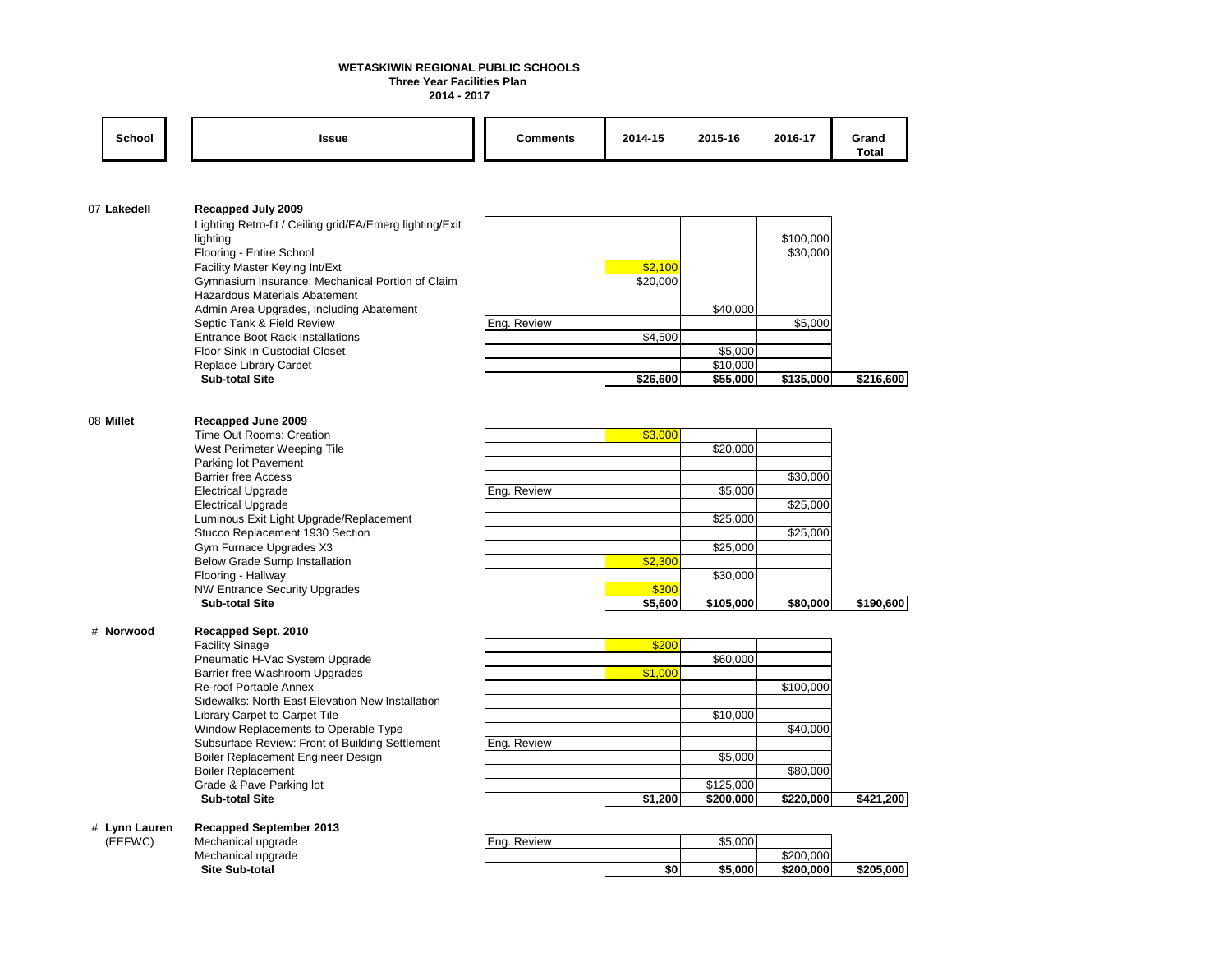#### **Three Year Facilities Plan WETASKIWIN REGIONAL PUBLIC SCHOOLS**

**2014 - 2017**

| <b>School</b> | <b>Issue</b>                                                  | <b>Comments</b> | 2014-15  | 2015-16             | 2016-17   | Grand<br><b>Total</b> |
|---------------|---------------------------------------------------------------|-----------------|----------|---------------------|-----------|-----------------------|
|               |                                                               |                 |          |                     |           |                       |
| 07 Lakedell   | Recapped July 2009                                            |                 |          |                     |           |                       |
|               | Lighting Retro-fit / Ceiling grid/FA/Emerg lighting/Exit      |                 |          |                     |           |                       |
|               | lighting                                                      |                 |          |                     | \$100,000 |                       |
|               | Flooring - Entire School                                      |                 |          |                     | \$30,000  |                       |
|               | Facility Master Keying Int/Ext                                |                 | \$2,100  |                     |           |                       |
|               | Gymnasium Insurance: Mechanical Portion of Claim              |                 | \$20,000 |                     |           |                       |
|               | Hazardous Materials Abatement                                 |                 |          |                     |           |                       |
|               | Admin Area Upgrades, Including Abatement                      |                 |          | \$40,000            |           |                       |
|               | Septic Tank & Field Review                                    | Eng. Review     |          |                     | \$5,000   |                       |
|               | <b>Entrance Boot Rack Installations</b>                       |                 | \$4,500  |                     |           |                       |
|               | Floor Sink In Custodial Closet<br>Replace Library Carpet      |                 |          | \$5,000<br>\$10.000 |           |                       |
|               | <b>Sub-total Site</b>                                         |                 | \$26,600 | \$55,000            | \$135,000 | \$216,600             |
|               |                                                               |                 |          |                     |           |                       |
|               |                                                               |                 |          |                     |           |                       |
| 08 Millet     | Recapped June 2009                                            |                 |          |                     |           |                       |
|               | Time Out Rooms: Creation                                      |                 | \$3,000  |                     |           |                       |
|               | West Perimeter Weeping Tile                                   |                 |          | \$20,000            |           |                       |
|               | Parking lot Pavement                                          |                 |          |                     |           |                       |
|               | <b>Barrier free Access</b>                                    |                 |          |                     | \$30,000  |                       |
|               | <b>Electrical Upgrade</b>                                     | Eng. Review     |          | \$5,000             |           |                       |
|               | <b>Electrical Upgrade</b>                                     |                 |          |                     | \$25,000  |                       |
|               | Luminous Exit Light Upgrade/Replacement                       |                 |          | \$25,000            |           |                       |
|               | Stucco Replacement 1930 Section                               |                 |          |                     | \$25,000  |                       |
|               | Gym Furnace Upgrades X3                                       |                 | \$2,300  | \$25,000            |           |                       |
|               | Below Grade Sump Installation<br>Flooring - Hallway           |                 |          | \$30,000            |           |                       |
|               | <b>NW Entrance Security Upgrades</b><br><b>Sub-total Site</b> |                 | \$300    |                     |           |                       |
|               |                                                               |                 | \$5,600  | \$105,000           | \$80,000  | \$190,600             |
|               |                                                               |                 |          |                     |           |                       |
| # Norwood     | Recapped Sept. 2010                                           |                 |          |                     |           |                       |
|               | <b>Facility Sinage</b>                                        |                 | \$200    |                     |           |                       |
|               | Pneumatic H-Vac System Upgrade                                |                 |          | \$60,000            |           |                       |
|               | Barrier free Washroom Upgrades                                |                 | \$1,000  |                     |           |                       |
|               | Re-roof Portable Annex                                        |                 |          |                     | \$100,000 |                       |
|               | Sidewalks: North East Elevation New Installation              |                 |          |                     |           |                       |
|               | Library Carpet to Carpet Tile                                 |                 |          | \$10,000            |           |                       |
|               | Window Replacements to Operable Type                          |                 |          |                     | \$40,000  |                       |
|               | Subsurface Review: Front of Building Settlement               | Eng. Review     |          |                     |           |                       |
|               | Boiler Replacement Engineer Design                            |                 |          | \$5,000             | \$80,000  |                       |
|               | <b>Boiler Replacement</b><br>Grade & Pave Parking lot         |                 |          | \$125,000           |           |                       |
|               | <b>Sub-total Site</b>                                         |                 | \$1,200  | \$200,000           | \$220,000 | \$421,200             |
|               |                                                               |                 |          |                     |           |                       |
| # Lynn Lauren | <b>Recapped September 2013</b>                                |                 |          |                     |           |                       |
| (EEFWC)       | Mechanical upgrade                                            | Eng. Review     |          | \$5,000             |           |                       |
|               | Mechanical upgrade                                            |                 |          |                     | \$200,000 |                       |

 **Site Sub-total \$0 \$5,000 \$200,000 \$205,000**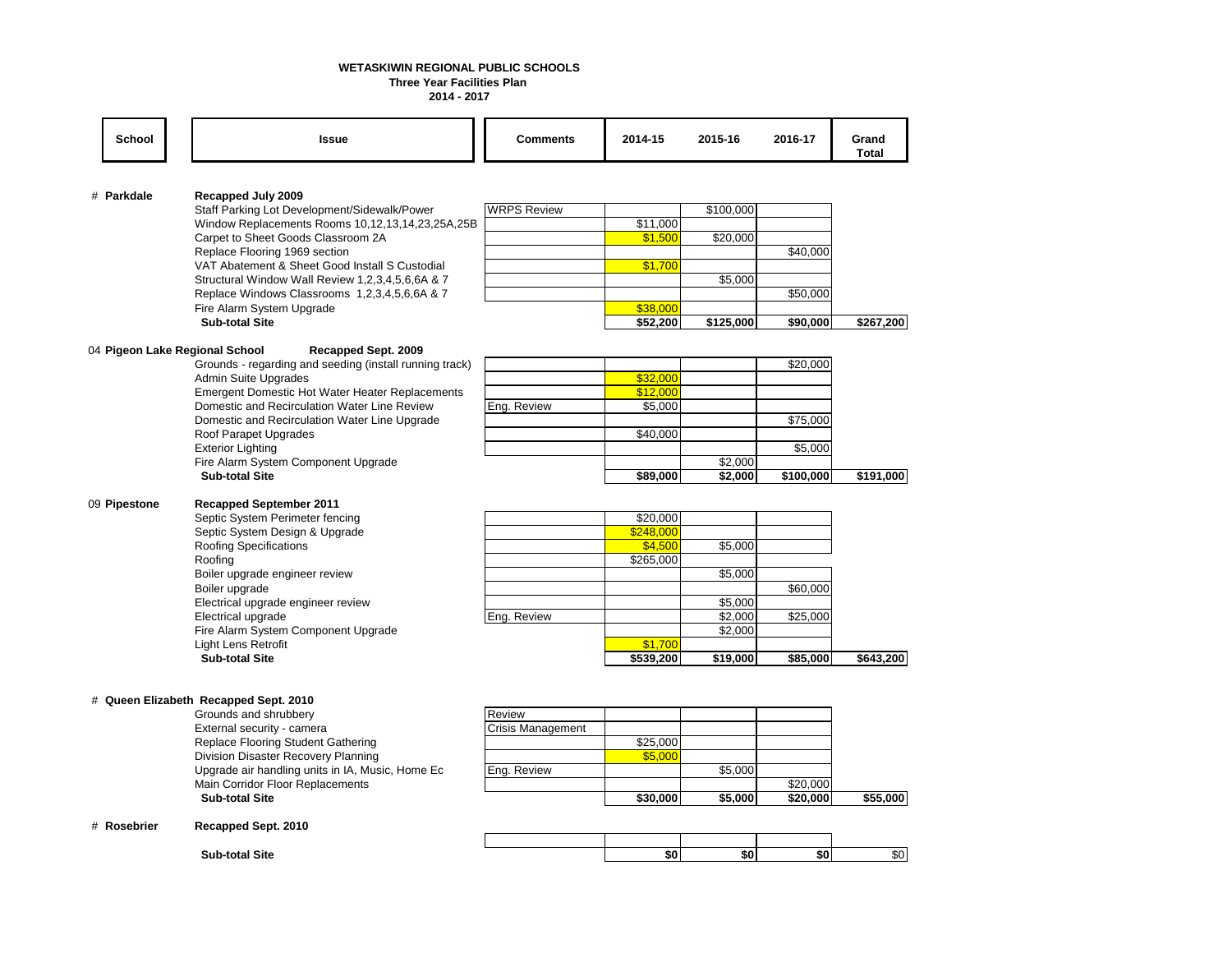### **WETASKIWIN REGIONAL PUBLIC SCHOOLS**

**Three Year Facilities Plan** 

**2014 - 2017**

| <b>School</b>                  | <b>Issue</b>                                                                                  | <b>Comments</b>    | 2014-15   | 2015-16   | 2016-17   | Grand<br><b>Total</b> |
|--------------------------------|-----------------------------------------------------------------------------------------------|--------------------|-----------|-----------|-----------|-----------------------|
|                                |                                                                                               |                    |           |           |           |                       |
| # Parkdale                     | Recapped July 2009                                                                            |                    |           |           |           |                       |
|                                | Staff Parking Lot Development/Sidewalk/Power                                                  | <b>WRPS Review</b> |           | \$100,000 |           |                       |
|                                | Window Replacements Rooms 10,12,13,14,23,25A,25B                                              |                    | \$11,000  |           |           |                       |
|                                | Carpet to Sheet Goods Classroom 2A                                                            |                    | \$1,500   | \$20,000  |           |                       |
|                                | Replace Flooring 1969 section<br>VAT Abatement & Sheet Good Install S Custodial               |                    |           |           | \$40,000  |                       |
|                                | Structural Window Wall Review 1,2,3,4,5,6,6A & 7                                              |                    | \$1,700   | \$5,000   |           |                       |
|                                | Replace Windows Classrooms 1,2,3,4,5,6,6A & 7                                                 |                    |           |           | \$50,000  |                       |
|                                | Fire Alarm System Upgrade                                                                     |                    | \$38,000  |           |           |                       |
|                                | <b>Sub-total Site</b>                                                                         |                    | \$52,200  | \$125,000 | \$90,000  | \$267,200             |
|                                |                                                                                               |                    |           |           |           |                       |
| 04 Pigeon Lake Regional School | Recapped Sept. 2009                                                                           |                    |           |           |           |                       |
|                                | Grounds - regarding and seeding (install running track)                                       |                    |           |           | \$20,000  |                       |
|                                | <b>Admin Suite Upgrades</b>                                                                   |                    | \$32,000  |           |           |                       |
|                                | <b>Emergent Domestic Hot Water Heater Replacements</b>                                        |                    | \$12,000  |           |           |                       |
|                                | Domestic and Recirculation Water Line Review<br>Domestic and Recirculation Water Line Upgrade | Eng. Review        | \$5,000   |           | \$75,000  |                       |
|                                | Roof Parapet Upgrades                                                                         |                    | \$40,000  |           |           |                       |
|                                | <b>Exterior Lighting</b>                                                                      |                    |           |           | \$5,000   |                       |
|                                | Fire Alarm System Component Upgrade                                                           |                    |           | \$2,000   |           |                       |
|                                | <b>Sub-total Site</b>                                                                         |                    | \$89,000  | \$2,000   | \$100,000 | \$191,000             |
|                                |                                                                                               |                    |           |           |           |                       |
| 09 Pipestone                   | <b>Recapped September 2011</b>                                                                |                    |           |           |           |                       |
|                                | Septic System Perimeter fencing                                                               |                    | \$20,000  |           |           |                       |
|                                | Septic System Design & Upgrade                                                                |                    | \$248,000 |           |           |                       |
|                                | Roofing Specifications                                                                        |                    | \$4,500   | \$5,000   |           |                       |
|                                | Roofing                                                                                       |                    | \$265,000 | \$5,000   |           |                       |
|                                | Boiler upgrade engineer review<br>Boiler upgrade                                              |                    |           |           | \$60,000  |                       |
|                                | Electrical upgrade engineer review                                                            |                    |           | \$5,000   |           |                       |
|                                | Electrical upgrade                                                                            | Eng. Review        |           | \$2,000   | \$25,000  |                       |
|                                | Fire Alarm System Component Upgrade                                                           |                    |           | \$2,000   |           |                       |
|                                | Light Lens Retrofit                                                                           |                    | \$1,700   |           |           |                       |
|                                | <b>Sub-total Site</b>                                                                         |                    | \$539,200 | \$19,000  | \$85,000  | \$643,200             |
|                                |                                                                                               |                    |           |           |           |                       |
|                                |                                                                                               |                    |           |           |           |                       |
|                                | # Queen Elizabeth Recapped Sept. 2010                                                         |                    |           |           |           |                       |
|                                | Grounds and shrubbery                                                                         | Review             |           |           |           |                       |
|                                | External security - camera<br>Replace Flooring Student Gathering                              | Crisis Management  | \$25,000  |           |           |                       |
|                                | Division Disaster Recovery Planning                                                           |                    | \$5,000   |           |           |                       |
|                                | Upgrade air handling units in IA, Music, Home Ec                                              | Eng. Review        |           | \$5,000   |           |                       |
|                                | Main Corridor Floor Replacements                                                              |                    |           |           | \$20,000  |                       |
|                                | <b>Sub-total Site</b>                                                                         |                    | \$30,000  | \$5,000   | \$20,000  | \$55,000              |
|                                |                                                                                               |                    |           |           |           |                       |
| # Rosebrier                    | Recapped Sept. 2010                                                                           |                    |           |           |           |                       |
|                                |                                                                                               |                    |           |           |           |                       |
|                                | <b>Sub-total Site</b>                                                                         |                    | \$0       | \$0       | \$0       | \$0                   |